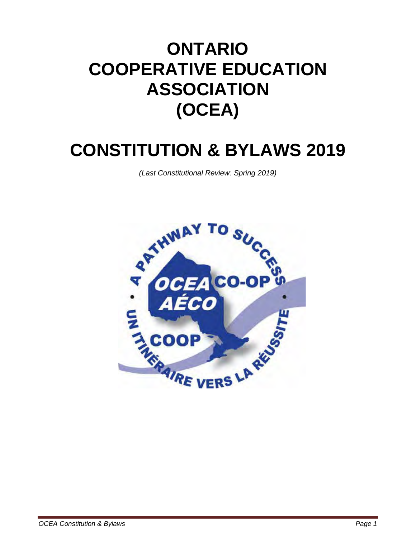# **ONTARIO COOPERATIVE EDUCATION ASSOCIATION (OCEA)**

# **CONSTITUTION & BYLAWS 2019**

*(Last Constitutional Review: Spring 2019)*

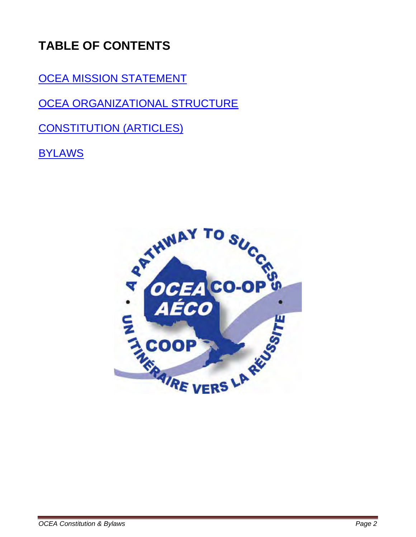## **TABLE OF CONTENTS**

[OCEA MISSION STATEMENT](#page-2-0)

[OCEA ORGANIZATIONAL STRUCTURE](#page-3-0)

[CONSTITUTION \(ARTICLES\)](#page-3-1)

**[BYLAWS](#page-7-0)** 

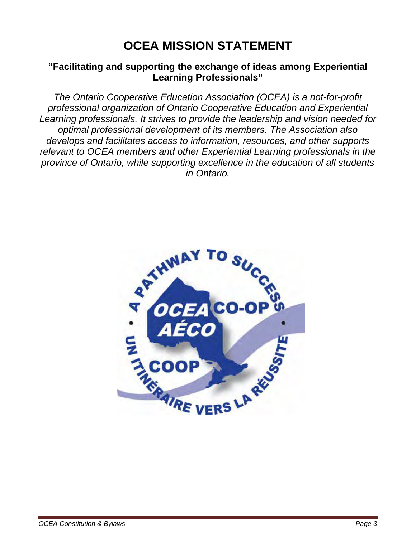## **OCEA MISSION STATEMENT**

### <span id="page-2-0"></span>**"Facilitating and supporting the exchange of ideas among Experiential Learning Professionals"**

*The Ontario Cooperative Education Association (OCEA) is a not-for-profit professional organization of Ontario Cooperative Education and Experiential Learning professionals. It strives to provide the leadership and vision needed for optimal professional development of its members. The Association also develops and facilitates access to information, resources, and other supports relevant to OCEA members and other Experiential Learning professionals in the province of Ontario, while supporting excellence in the education of all students in Ontario.*

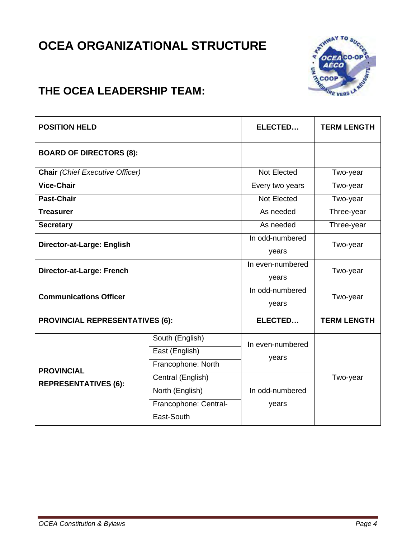## <span id="page-3-0"></span>**OCEA ORGANIZATIONAL STRUCTURE**



### **THE OCEA LEADERSHIP TEAM:**

<span id="page-3-1"></span>

| <b>POSITION HELD</b>                             |                       | ELECTED                   | <b>TERM LENGTH</b> |
|--------------------------------------------------|-----------------------|---------------------------|--------------------|
| <b>BOARD OF DIRECTORS (8):</b>                   |                       |                           |                    |
| <b>Chair</b> (Chief Executive Officer)           |                       | <b>Not Elected</b>        | Two-year           |
| <b>Vice-Chair</b>                                |                       | Every two years           | Two-year           |
| <b>Past-Chair</b>                                |                       | Not Elected               | Two-year           |
| <b>Treasurer</b>                                 |                       | As needed                 | Three-year         |
| <b>Secretary</b>                                 |                       | As needed                 | Three-year         |
| Director-at-Large: English                       |                       | In odd-numbered<br>years  | Two-year           |
| Director-at-Large: French                        |                       | In even-numbered<br>years | Two-year           |
| <b>Communications Officer</b>                    |                       | In odd-numbered<br>years  | Two-year           |
| <b>PROVINCIAL REPRESENTATIVES (6):</b>           |                       | ELECTED                   | <b>TERM LENGTH</b> |
| <b>PROVINCIAL</b><br><b>REPRESENTATIVES (6):</b> | South (English)       | In even-numbered<br>years | Two-year           |
|                                                  | East (English)        |                           |                    |
|                                                  | Francophone: North    |                           |                    |
|                                                  | Central (English)     | In odd-numbered<br>years  |                    |
|                                                  | North (English)       |                           |                    |
|                                                  | Francophone: Central- |                           |                    |
|                                                  | East-South            |                           |                    |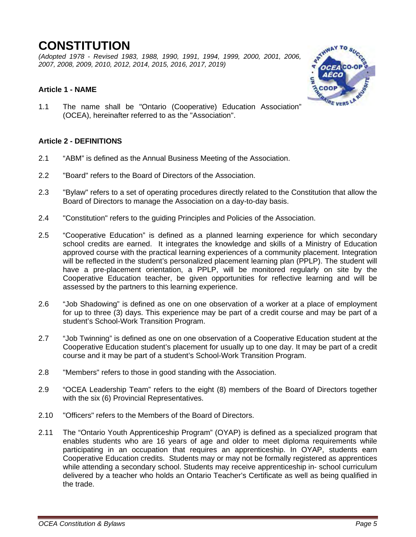### **CONSTITUTION**

*(Adopted 1978 - Revised 1983, 1988, 1990, 1991, 1994, 1999, 2000, 2001, 2006, 2007, 2008, 2009, 2010, 2012, 2014, 2015, 2016, 2017, 2019)* 

### **Article 1 - NAME**

1.1 The name shall be "Ontario (Cooperative) Education Association" (OCEA), hereinafter referred to as the "Association".

### **Article 2 - DEFINITIONS**

- 2.1 "ABM" is defined as the Annual Business Meeting of the Association.
- 2.2 "Board" refers to the Board of Directors of the Association.
- 2.3 "Bylaw" refers to a set of operating procedures directly related to the Constitution that allow the Board of Directors to manage the Association on a day-to-day basis.
- 2.4 "Constitution" refers to the guiding Principles and Policies of the Association.
- 2.5 "Cooperative Education" is defined as a planned learning experience for which secondary school credits are earned. It integrates the knowledge and skills of a Ministry of Education approved course with the practical learning experiences of a community placement. Integration will be reflected in the student's personalized placement learning plan (PPLP). The student will have a pre-placement orientation, a PPLP, will be monitored regularly on site by the Cooperative Education teacher, be given opportunities for reflective learning and will be assessed by the partners to this learning experience.
- 2.6 "Job Shadowing" is defined as one on one observation of a worker at a place of employment for up to three (3) days. This experience may be part of a credit course and may be part of a student's School-Work Transition Program.
- 2.7 "Job Twinning" is defined as one on one observation of a Cooperative Education student at the Cooperative Education student's placement for usually up to one day. It may be part of a credit course and it may be part of a student's School-Work Transition Program.
- 2.8 "Members" refers to those in good standing with the Association.
- 2.9 "OCEA Leadership Team" refers to the eight (8) members of the Board of Directors together with the six (6) Provincial Representatives.
- 2.10 "Officers" refers to the Members of the Board of Directors.
- 2.11 The "Ontario Youth Apprenticeship Program" (OYAP) is defined as a specialized program that enables students who are 16 years of age and older to meet diploma requirements while participating in an occupation that requires an apprenticeship. In OYAP, students earn Cooperative Education credits. Students may or may not be formally registered as apprentices while attending a secondary school. Students may receive apprenticeship in- school curriculum delivered by a teacher who holds an Ontario Teacher's Certificate as well as being qualified in the trade.

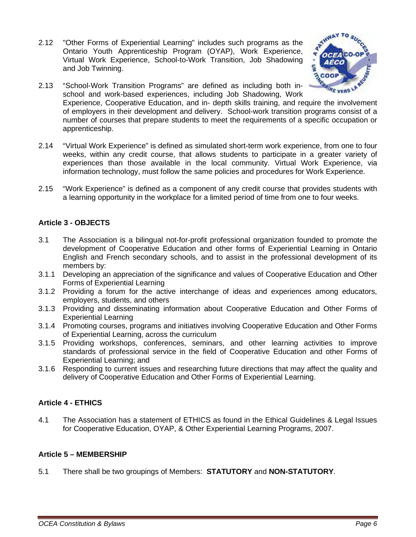2.12 "Other Forms of Experiential Learning" includes such programs as the Ontario Youth Apprenticeship Program (OYAP), Work Experience, Virtual Work Experience, School-to-Work Transition, Job Shadowing and Job Twinning.



- 2.13 "School-Work Transition Programs" are defined as including both inschool and work-based experiences, including Job Shadowing, Work Experience, Cooperative Education, and in-depth skills training, and require the involvement<br>Experience, Cooperative Education, and in-depth skills training, and require the involvement of employers in their development and delivery. School-work transition programs consist of a number of courses that prepare students to meet the requirements of a specific occupation or apprenticeship.
- 2.14 "Virtual Work Experience" is defined as simulated short-term work experience, from one to four weeks, within any credit course, that allows students to participate in a greater variety of experiences than those available in the local community. Virtual Work Experience, via information technology, must follow the same policies and procedures for Work Experience.
- 2.15 "Work Experience" is defined as a component of any credit course that provides students with a learning opportunity in the workplace for a limited period of time from one to four weeks.

### **Article 3 - OBJECTS**

- 3.1 The Association is a bilingual not-for-profit professional organization founded to promote the development of Cooperative Education and other forms of Experiential Learning in Ontario English and French secondary schools, and to assist in the professional development of its members by:
- 3.1.1 Developing an appreciation of the significance and values of Cooperative Education and Other Forms of Experiential Learning
- 3.1.2 Providing a forum for the active interchange of ideas and experiences among educators, employers, students, and others
- 3.1.3 Providing and disseminating information about Cooperative Education and Other Forms of Experiential Learning
- 3.1.4 Promoting courses, programs and initiatives involving Cooperative Education and Other Forms of Experiential Learning, across the curriculum
- 3.1.5 Providing workshops, conferences, seminars, and other learning activities to improve standards of professional service in the field of Cooperative Education and other Forms of Experiential Learning; and
- 3.1.6 Responding to current issues and researching future directions that may affect the quality and delivery of Cooperative Education and Other Forms of Experiential Learning.

### **Article 4 - ETHICS**

4.1 The Association has a statement of ETHICS as found in the Ethical Guidelines & Legal Issues for Cooperative Education, OYAP, & Other Experiential Learning Programs, 2007.

### **Article 5 – MEMBERSHIP**

5.1 There shall be two groupings of Members: **STATUTORY** and **NON-STATUTORY**.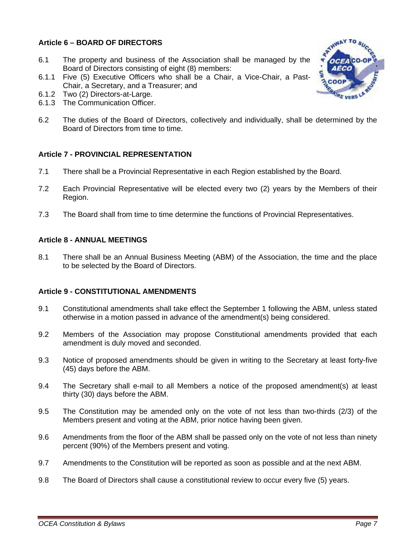### **Article 6 – BOARD OF DIRECTORS**

- 6.1 The property and business of the Association shall be managed by the Board of Directors consisting of eight (8) members:
- 6.1.1 Five (5) Executive Officers who shall be a Chair, a Vice-Chair, a Past-Chair, a Secretary, and a Treasurer; and
- 6.1.2 Two (2) Directors-at-Large.
- 6.1.3 The Communication Officer.
- 6.2 The duties of the Board of Directors, collectively and individually, shall be determined by the Board of Directors from time to time.

### **Article 7 - PROVINCIAL REPRESENTATION**

- 7.1 There shall be a Provincial Representative in each Region established by the Board.
- 7.2 Each Provincial Representative will be elected every two (2) years by the Members of their Region.
- 7.3 The Board shall from time to time determine the functions of Provincial Representatives.

### **Article 8 - ANNUAL MEETINGS**

8.1 There shall be an Annual Business Meeting (ABM) of the Association, the time and the place to be selected by the Board of Directors.

### **Article 9 - CONSTITUTIONAL AMENDMENTS**

- 9.1 Constitutional amendments shall take effect the September 1 following the ABM, unless stated otherwise in a motion passed in advance of the amendment(s) being considered.
- 9.2 Members of the Association may propose Constitutional amendments provided that each amendment is duly moved and seconded.
- 9.3 Notice of proposed amendments should be given in writing to the Secretary at least forty-five (45) days before the ABM.
- 9.4 The Secretary shall e-mail to all Members a notice of the proposed amendment(s) at least thirty (30) days before the ABM.
- 9.5 The Constitution may be amended only on the vote of not less than two-thirds (2/3) of the Members present and voting at the ABM, prior notice having been given.
- 9.6 Amendments from the floor of the ABM shall be passed only on the vote of not less than ninety percent (90%) of the Members present and voting.
- 9.7 Amendments to the Constitution will be reported as soon as possible and at the next ABM.
- 9.8 The Board of Directors shall cause a constitutional review to occur every five (5) years.

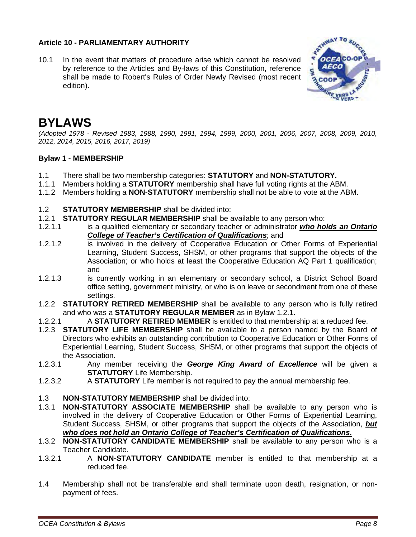### **Article 10 - PARLIAMENTARY AUTHORITY**

10.1 In the event that matters of procedure arise which cannot be resolved by reference to the Articles and By-laws of this Constitution, reference shall be made to Robert's Rules of Order Newly Revised (most recent edition).



### <span id="page-7-0"></span>**BYLAWS**

*(Adopted 1978 - Revised 1983, 1988, 1990, 1991, 1994, 1999, 2000, 2001, 2006, 2007, 2008, 2009, 2010, 2012, 2014, 2015, 2016, 2017, 2019)* 

### **Bylaw 1 - MEMBERSHIP**

- 1.1 There shall be two membership categories: **STATUTORY** and **NON-STATUTORY.**
- 1.1.1 Members holding a **STATUTORY** membership shall have full voting rights at the ABM.
- 1.1.2 Members holding a **NON-STATUTORY** membership shall not be able to vote at the ABM.
- 1.2 **STATUTORY MEMBERSHIP** shall be divided into:
- 1.2.1 **STATUTORY REGULAR MEMBERSHIP** shall be available to any person who:<br>1.2.1.1 is a qualified elementary or secondary teacher or administrator *who ho*
- 1.2.1.1 is a qualified elementary or secondary teacher or administrator *who holds an Ontario College of Teacher's Certification of Qualifications*; and
- 1.2.1.2 is involved in the delivery of Cooperative Education or Other Forms of Experiential Learning, Student Success, SHSM, or other programs that support the objects of the Association; or who holds at least the Cooperative Education AQ Part 1 qualification; and
- 1.2.1.3 is currently working in an elementary or secondary school, a District School Board office setting, government ministry, or who is on leave or secondment from one of these settings.
- 1.2.2 **STATUTORY RETIRED MEMBERSHIP** shall be available to any person who is fully retired and who was a **STATUTORY REGULAR MEMBER** as in Bylaw 1.2.1.
- 1.2.2.1 A **STATUTORY RETIRED MEMBER** is entitled to that membership at a reduced fee.
- 1.2.3 **STATUTORY LIFE MEMBERSHIP** shall be available to a person named by the Board of Directors who exhibits an outstanding contribution to Cooperative Education or Other Forms of Experiential Learning, Student Success, SHSM, or other programs that support the objects of the Association.
- 1.2.3.1 Any member receiving the *George King Award of Excellence* will be given a **STATUTORY** Life Membership.
- 1.2.3.2 A **STATUTORY** Life member is not required to pay the annual membership fee.
- 1.3 **NON-STATUTORY MEMBERSHIP** shall be divided into:
- 1.3.1 **NON-STATUTORY ASSOCIATE MEMBERSHIP** shall be available to any person who is involved in the delivery of Cooperative Education or Other Forms of Experiential Learning, Student Success, SHSM, or other programs that support the objects of the Association, *but who does not hold an Ontario College of Teacher's Certification of Qualifications.*
- 1.3.2 **NON-STATUTORY CANDIDATE MEMBERSHIP** shall be available to any person who is a Teacher Candidate.
- 1.3.2.1 A **NON-STATUTORY CANDIDATE** member is entitled to that membership at a reduced fee.
- 1.4 Membership shall not be transferable and shall terminate upon death, resignation, or nonpayment of fees.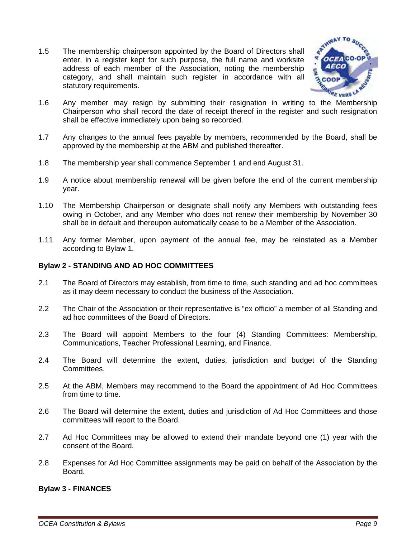1.5 The membership chairperson appointed by the Board of Directors shall enter, in a register kept for such purpose, the full name and worksite address of each member of the Association, noting the membership category, and shall maintain such register in accordance with all statutory requirements.



- 1.6 Any member may resign by submitting their resignation in writing to the Membership Chairperson who shall record the date of receipt thereof in the register and such resignation shall be effective immediately upon being so recorded.
- 1.7 Any changes to the annual fees payable by members, recommended by the Board, shall be approved by the membership at the ABM and published thereafter.
- 1.8 The membership year shall commence September 1 and end August 31.
- 1.9 A notice about membership renewal will be given before the end of the current membership year.
- 1.10 The Membership Chairperson or designate shall notify any Members with outstanding fees owing in October, and any Member who does not renew their membership by November 30 shall be in default and thereupon automatically cease to be a Member of the Association.
- 1.11 Any former Member, upon payment of the annual fee, may be reinstated as a Member according to Bylaw 1.

### **Bylaw 2 - STANDING AND AD HOC COMMITTEES**

- 2.1 The Board of Directors may establish, from time to time, such standing and ad hoc committees as it may deem necessary to conduct the business of the Association.
- 2.2 The Chair of the Association or their representative is "ex officio" a member of all Standing and ad hoc committees of the Board of Directors.
- 2.3 The Board will appoint Members to the four (4) Standing Committees: Membership, Communications, Teacher Professional Learning, and Finance.
- 2.4 The Board will determine the extent, duties, jurisdiction and budget of the Standing Committees.
- 2.5 At the ABM, Members may recommend to the Board the appointment of Ad Hoc Committees from time to time.
- 2.6 The Board will determine the extent, duties and jurisdiction of Ad Hoc Committees and those committees will report to the Board.
- 2.7 Ad Hoc Committees may be allowed to extend their mandate beyond one (1) year with the consent of the Board.
- 2.8 Expenses for Ad Hoc Committee assignments may be paid on behalf of the Association by the Board.

#### **Bylaw 3 - FINANCES**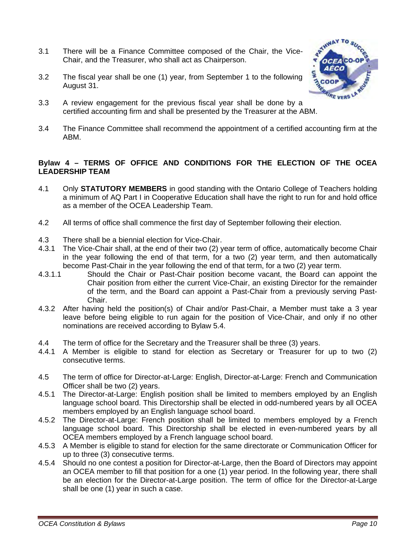- 3.1 There will be a Finance Committee composed of the Chair, the Vice-Chair, and the Treasurer, who shall act as Chairperson.
- 3.2 The fiscal year shall be one (1) year, from September 1 to the following August 31.



- 3.3 A review engagement for the previous fiscal year shall be done by a certified accounting firm and shall be presented by the Treasurer at the ABM.
- 3.4 The Finance Committee shall recommend the appointment of a certified accounting firm at the ABM.

### **Bylaw 4 – TERMS OF OFFICE AND CONDITIONS FOR THE ELECTION OF THE OCEA LEADERSHIP TEAM**

- 4.1 Only **STATUTORY MEMBERS** in good standing with the Ontario College of Teachers holding a minimum of AQ Part I in Cooperative Education shall have the right to run for and hold office as a member of the OCEA Leadership Team.
- 4.2 All terms of office shall commence the first day of September following their election.
- 4.3 There shall be a biennial election for Vice-Chair.
- 4.3.1 The Vice-Chair shall, at the end of their two (2) year term of office, automatically become Chair in the year following the end of that term, for a two (2) year term, and then automatically become Past-Chair in the year following the end of that term, for a two (2) year term.
- 4.3.1.1 Should the Chair or Past-Chair position become vacant, the Board can appoint the Chair position from either the current Vice-Chair, an existing Director for the remainder of the term, and the Board can appoint a Past-Chair from a previously serving Past-Chair.
- 4.3.2 After having held the position(s) of Chair and/or Past-Chair, a Member must take a 3 year leave before being eligible to run again for the position of Vice-Chair, and only if no other nominations are received according to Bylaw 5.4.
- 4.4 The term of office for the Secretary and the Treasurer shall be three (3) years.<br>4.4.1 A Member is eligible to stand for election as Secretary or Treasurer for
- 4.4.1 A Member is eligible to stand for election as Secretary or Treasurer for up to two (2) consecutive terms.
- 4.5 The term of office for Director-at-Large: English, Director-at-Large: French and Communication Officer shall be two (2) years.
- 4.5.1 The Director-at-Large: English position shall be limited to members employed by an English language school board. This Directorship shall be elected in odd-numbered years by all OCEA members employed by an English language school board.
- 4.5.2 The Director-at-Large: French position shall be limited to members employed by a French language school board. This Directorship shall be elected in even-numbered years by all OCEA members employed by a French language school board.
- 4.5.3 A Member is eligible to stand for election for the same directorate or Communication Officer for up to three (3) consecutive terms.
- 4.5.4 Should no one contest a position for Director-at-Large, then the Board of Directors may appoint an OCEA member to fill that position for a one (1) year period. In the following year, there shall be an election for the Director-at-Large position. The term of office for the Director-at-Large shall be one (1) year in such a case.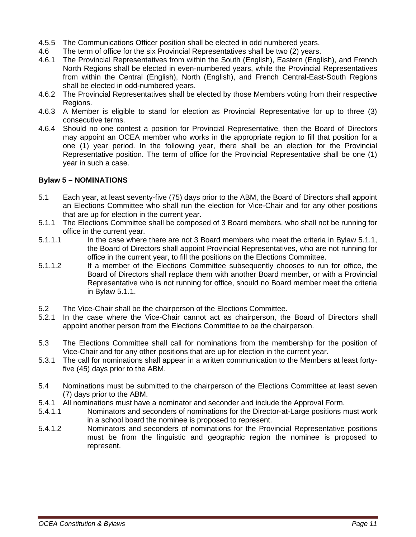- 4.5.5 The Communications Officer position shall be elected in odd numbered years.
- 4.6 The term of office for the six Provincial Representatives shall be two (2) years.
- 4.6.1 The Provincial Representatives from within the South (English), Eastern (English), and French North Regions shall be elected in even-numbered years, while the Provincial Representatives from within the Central (English), North (English), and French Central-East-South Regions shall be elected in odd-numbered years.
- 4.6.2 The Provincial Representatives shall be elected by those Members voting from their respective Regions.
- 4.6.3 A Member is eligible to stand for election as Provincial Representative for up to three (3) consecutive terms.
- 4.6.4 Should no one contest a position for Provincial Representative, then the Board of Directors may appoint an OCEA member who works in the appropriate region to fill that position for a one (1) year period. In the following year, there shall be an election for the Provincial Representative position. The term of office for the Provincial Representative shall be one (1) year in such a case.

#### **Bylaw 5 – NOMINATIONS**

- 5.1 Each year, at least seventy-five (75) days prior to the ABM, the Board of Directors shall appoint an Elections Committee who shall run the election for Vice-Chair and for any other positions that are up for election in the current year.
- 5.1.1 The Elections Committee shall be composed of 3 Board members, who shall not be running for office in the current year.
- 5.1.1.1 In the case where there are not 3 Board members who meet the criteria in Bylaw 5.1.1, the Board of Directors shall appoint Provincial Representatives, who are not running for office in the current year, to fill the positions on the Elections Committee.
- 5.1.1.2 If a member of the Elections Committee subsequently chooses to run for office, the Board of Directors shall replace them with another Board member, or with a Provincial Representative who is not running for office, should no Board member meet the criteria in Bylaw 5.1.1.
- 5.2 The Vice-Chair shall be the chairperson of the Elections Committee.
- 5.2.1 In the case where the Vice-Chair cannot act as chairperson, the Board of Directors shall appoint another person from the Elections Committee to be the chairperson.
- 5.3 The Elections Committee shall call for nominations from the membership for the position of Vice-Chair and for any other positions that are up for election in the current year.
- 5.3.1 The call for nominations shall appear in a written communication to the Members at least fortyfive (45) days prior to the ABM.
- 5.4 Nominations must be submitted to the chairperson of the Elections Committee at least seven (7) days prior to the ABM.
- 5.4.1 All nominations must have a nominator and seconder and include the Approval Form.<br>5.4.1.1 **Nominators and seconders of nominations for the Director-at-Large positions m**
- Nominators and seconders of nominations for the Director-at-Large positions must work in a school board the nominee is proposed to represent.
- 5.4.1.2 Nominators and seconders of nominations for the Provincial Representative positions must be from the linguistic and geographic region the nominee is proposed to represent.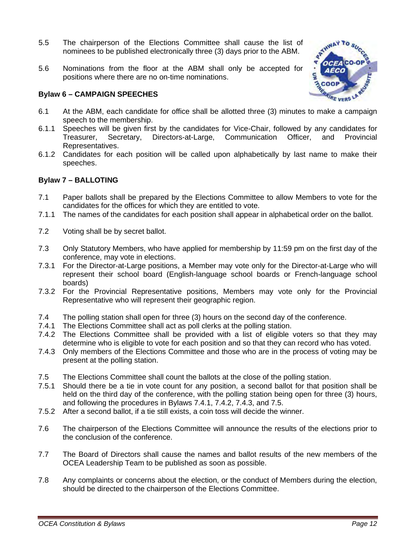- 5.5 The chairperson of the Elections Committee shall cause the list of nominees to be published electronically three (3) days prior to the ABM.
- 5.6 Nominations from the floor at the ABM shall only be accepted for positions where there are no on-time nominations.

### **Bylaw 6 – CAMPAIGN SPEECHES**



- 6.1 At the ABM, each candidate for office shall be allotted three (3) minutes to make a campaign speech to the membership.
- 6.1.1 Speeches will be given first by the candidates for Vice-Chair, followed by any candidates for Treasurer, Secretary, Directors-at-Large, Communication Officer, and Provincial Representatives.
- 6.1.2 Candidates for each position will be called upon alphabetically by last name to make their speeches.

### **Bylaw 7 – BALLOTING**

- 7.1 Paper ballots shall be prepared by the Elections Committee to allow Members to vote for the candidates for the offices for which they are entitled to vote.
- 7.1.1 The names of the candidates for each position shall appear in alphabetical order on the ballot.
- 7.2 Voting shall be by secret ballot.
- 7.3 Only Statutory Members, who have applied for membership by 11:59 pm on the first day of the conference, may vote in elections.
- 7.3.1 For the Director-at-Large positions, a Member may vote only for the Director-at-Large who will represent their school board (English-language school boards or French-language school boards)
- 7.3.2 For the Provincial Representative positions, Members may vote only for the Provincial Representative who will represent their geographic region.
- 7.4 The polling station shall open for three (3) hours on the second day of the conference.
- 7.4.1 The Elections Committee shall act as poll clerks at the polling station.
- 7.4.2 The Elections Committee shall be provided with a list of eligible voters so that they may determine who is eligible to vote for each position and so that they can record who has voted.
- 7.4.3 Only members of the Elections Committee and those who are in the process of voting may be present at the polling station.
- 7.5 The Elections Committee shall count the ballots at the close of the polling station.
- 7.5.1 Should there be a tie in vote count for any position, a second ballot for that position shall be held on the third day of the conference, with the polling station being open for three (3) hours, and following the procedures in Bylaws 7.4.1, 7.4.2, 7.4.3, and 7.5.
- 7.5.2 After a second ballot, if a tie still exists, a coin toss will decide the winner.
- 7.6 The chairperson of the Elections Committee will announce the results of the elections prior to the conclusion of the conference.
- 7.7 The Board of Directors shall cause the names and ballot results of the new members of the OCEA Leadership Team to be published as soon as possible.
- 7.8 Any complaints or concerns about the election, or the conduct of Members during the election, should be directed to the chairperson of the Elections Committee.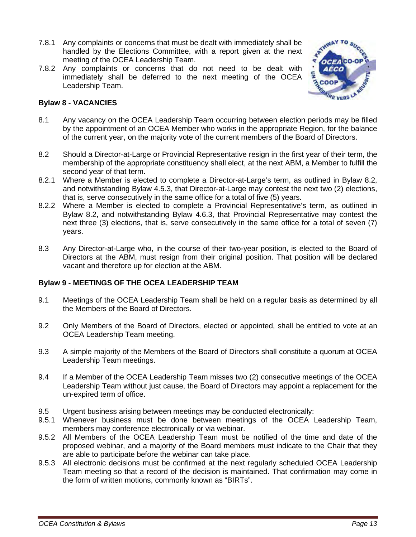- 7.8.1 Any complaints or concerns that must be dealt with immediately shall be handled by the Elections Committee, with a report given at the next meeting of the OCEA Leadership Team.
- 7.8.2 Any complaints or concerns that do not need to be dealt with immediately shall be deferred to the next meeting of the OCEA Leadership Team.



### **Bylaw 8 - VACANCIES**

- 8.1 Any vacancy on the OCEA Leadership Team occurring between election periods may be filled by the appointment of an OCEA Member who works in the appropriate Region, for the balance of the current year, on the majority vote of the current members of the Board of Directors.
- 8.2 Should a Director-at-Large or Provincial Representative resign in the first year of their term, the membership of the appropriate constituency shall elect, at the next ABM, a Member to fulfill the second year of that term.
- 8.2.1 Where a Member is elected to complete a Director-at-Large's term, as outlined in Bylaw 8.2, and notwithstanding Bylaw 4.5.3, that Director-at-Large may contest the next two (2) elections, that is, serve consecutively in the same office for a total of five (5) years.
- 8.2.2 Where a Member is elected to complete a Provincial Representative's term, as outlined in Bylaw 8.2, and notwithstanding Bylaw 4.6.3, that Provincial Representative may contest the next three (3) elections, that is, serve consecutively in the same office for a total of seven (7) years.
- 8.3 Any Director-at-Large who, in the course of their two-year position, is elected to the Board of Directors at the ABM, must resign from their original position. That position will be declared vacant and therefore up for election at the ABM.

### **Bylaw 9 - MEETINGS OF THE OCEA LEADERSHIP TEAM**

- 9.1 Meetings of the OCEA Leadership Team shall be held on a regular basis as determined by all the Members of the Board of Directors.
- 9.2 Only Members of the Board of Directors, elected or appointed, shall be entitled to vote at an OCEA Leadership Team meeting.
- 9.3 A simple majority of the Members of the Board of Directors shall constitute a quorum at OCEA Leadership Team meetings.
- 9.4 If a Member of the OCEA Leadership Team misses two (2) consecutive meetings of the OCEA Leadership Team without just cause, the Board of Directors may appoint a replacement for the un-expired term of office.
- 9.5 Urgent business arising between meetings may be conducted electronically:
- 9.5.1 Whenever business must be done between meetings of the OCEA Leadership Team, members may conference electronically or via webinar.
- 9.5.2 All Members of the OCEA Leadership Team must be notified of the time and date of the proposed webinar, and a majority of the Board members must indicate to the Chair that they are able to participate before the webinar can take place.
- 9.5.3 All electronic decisions must be confirmed at the next regularly scheduled OCEA Leadership Team meeting so that a record of the decision is maintained. That confirmation may come in the form of written motions, commonly known as "BIRTs".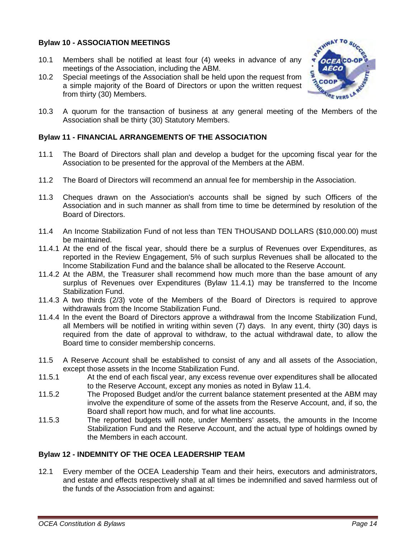### **Bylaw 10 - ASSOCIATION MEETINGS**

- 10.1 Members shall be notified at least four (4) weeks in advance of any meetings of the Association, including the ABM.
- 10.2 Special meetings of the Association shall be held upon the request from a simple majority of the Board of Directors or upon the written request from thirty (30) Members.



10.3 A quorum for the transaction of business at any general meeting of the Members of the Association shall be thirty (30) Statutory Members.

### **Bylaw 11 - FINANCIAL ARRANGEMENTS OF THE ASSOCIATION**

- 11.1 The Board of Directors shall plan and develop a budget for the upcoming fiscal year for the Association to be presented for the approval of the Members at the ABM.
- 11.2 The Board of Directors will recommend an annual fee for membership in the Association.
- 11.3 Cheques drawn on the Association's accounts shall be signed by such Officers of the Association and in such manner as shall from time to time be determined by resolution of the Board of Directors.
- 11.4 An Income Stabilization Fund of not less than TEN THOUSAND DOLLARS (\$10,000.00) must be maintained.
- 11.4.1 At the end of the fiscal year, should there be a surplus of Revenues over Expenditures, as reported in the Review Engagement, 5% of such surplus Revenues shall be allocated to the Income Stabilization Fund and the balance shall be allocated to the Reserve Account.
- 11.4.2 At the ABM, the Treasurer shall recommend how much more than the base amount of any surplus of Revenues over Expenditures (Bylaw 11.4.1) may be transferred to the Income Stabilization Fund.
- 11.4.3 A two thirds (2/3) vote of the Members of the Board of Directors is required to approve withdrawals from the Income Stabilization Fund.
- 11.4.4 In the event the Board of Directors approve a withdrawal from the Income Stabilization Fund, all Members will be notified in writing within seven (7) days. In any event, thirty (30) days is required from the date of approval to withdraw, to the actual withdrawal date, to allow the Board time to consider membership concerns.
- 11.5 A Reserve Account shall be established to consist of any and all assets of the Association, except those assets in the Income Stabilization Fund.
- 11.5.1 At the end of each fiscal year, any excess revenue over expenditures shall be allocated to the Reserve Account, except any monies as noted in Bylaw 11.4.
- 11.5.2 The Proposed Budget and/or the current balance statement presented at the ABM may involve the expenditure of some of the assets from the Reserve Account, and, if so, the Board shall report how much, and for what line accounts.
- 11.5.3 The reported budgets will note, under Members' assets, the amounts in the Income Stabilization Fund and the Reserve Account, and the actual type of holdings owned by the Members in each account.

### **Bylaw 12 - INDEMNITY OF THE OCEA LEADERSHIP TEAM**

12.1 Every member of the OCEA Leadership Team and their heirs, executors and administrators, and estate and effects respectively shall at all times be indemnified and saved harmless out of the funds of the Association from and against: